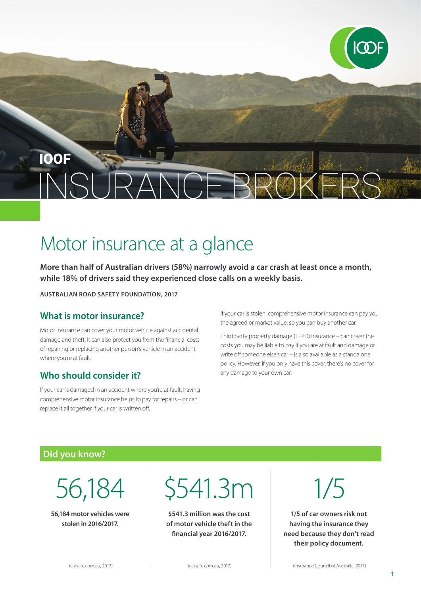# **IOOF**

# Motor insurance at a glance

**More than half of Australian drivers (58%) narrowly avoid a car crash at least once a month, while 18% of drivers said they experienced close calls on a weekly basis.**

**AUSTRALIAN ROAD SAFETY FOUNDATION, 2017**

#### **What is motor insurance?**

Motor insurance can cover your motor vehicle against accidental damage and theft. It can also protect you from the financial costs of repairing or replacing another person's vehicle in an accident where you're at fault.

#### **Who should consider it?**

If your car is damaged in an accident where you're at fault, having comprehensive motor insurance helps to pay for repairs – or can replace it all together if your car is written off.

If your car is stolen, comprehensive motor insurance can pay you the agreed or market value, so you can buy another car.

Third party property damage (TPPD) insurance – can cover the costs you may be liable to pay if you are at fault and damage or write off someone else's car – is also available as a standalone policy. However, if you only have this cover, there's no cover for any damage to your own car.

#### **Did you know?**

56,184

**56,184 motor vehicles were stolen in 2016/2017.** 

\$541.3m

**\$541.3 million was the cost of motor vehicle theft in the financial year 2016/2017.**

1/5

**1/5 of car owners risk not having the insurance they need because they don't read their policy document.**